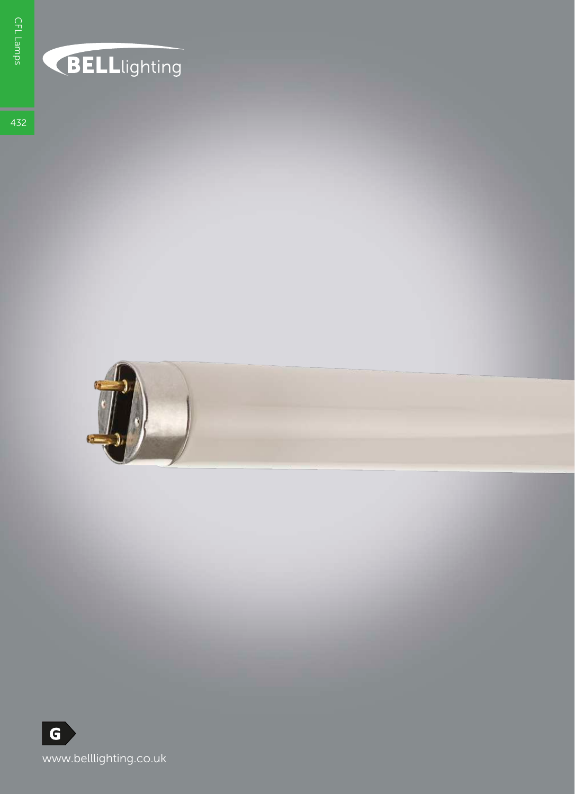## **BELL**lighting

432